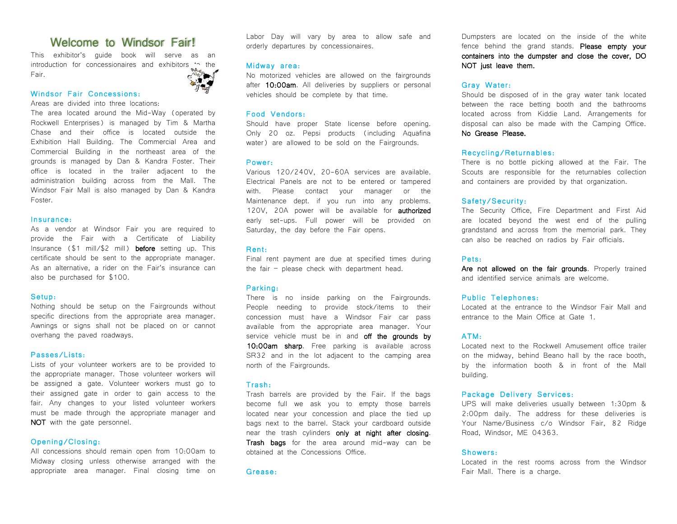# Welcome to Windsor Fair!

This exhibitor's guide book will serve as an introduction for concessionaires and exhibitors to the Fair.



# Windsor Fair Concessions:

Areas are divided into three locations:

The area located around the Mid-Way (operated by Rockwell Enterprises) is managed by Tim & Martha Chase and their office is located outside the Exhibition Hall Building. The Commercial Area and Commercial Building in the northeast area of the grounds is managed by Dan & Kandra Foster. Their office is located in the trailer adjacent to the administration building across from the Mall. The Windsor Fair Mall is also managed by Dan & Kandra Foster.

# Insurance:

As a vendor at Windsor Fair you are required to provide the Fair with a Certificate of Liability Insurance (\$1 mill/\$2 mill) before setting up. This certificate should be sent to the appropriate manager. As an alternative, a rider on the Fair's insurance can also be purchased for \$100.

# Setup:

Nothing should be setup on the Fairgrounds without specific directions from the appropriate area manager. Awnings or signs shall not be placed on or cannot overhang the paved roadways.

# Passes/Lists:

Lists of your volunteer workers are to be provided to the appropriate manager. Those volunteer workers will be assigned a gate. Volunteer workers must go to their assigned gate in order to gain access to the fair. Any changes to your listed volunteer workers must be made through the appropriate manager and NOT with the gate personnel.

# Opening/Closing:

All concessions should remain open from 10:00am to Midway closing unless otherwise arranged with the appropriate area manager. Final closing time on Labor Day will vary by area to allow safe and orderly departures by concessionaires.

### Midway area:

No motorized vehicles are allowed on the fairgrounds after 10:00am. All deliveries by suppliers or personal vehicles should be complete by that time.

# Food Vendors:

Should have proper State license before opening. Only 20 oz. Pepsi products (including Aquafina water) are allowed to be sold on the Fairgrounds.

#### Power:

Various 120/240V, 20-60A services are available. Electrical Panels are not to be entered or tampered with. Please contact your manager or the Maintenance dept. if you run into any problems. 120V, 20A power will be available for **authorized** early set-ups. Full power will be provided on Saturday, the day before the Fair opens.

#### Rent:

Final rent payment are due at specified times during the fair – please check with department head.

# Parking:

There is no inside parking on the Fairgrounds. People needing to provide stock/items to their concession must have a Windsor Fair car pass available from the appropriate area manager. Your service vehicle must be in and off the grounds by 10:00am sharp. Free parking is available across SR32 and in the lot adjacent to the camping area north of the Fairgrounds.

# Trash:

Trash barrels are provided by the Fair. If the bags become full we ask you to empty those barrels located near your concession and place the tied up bags next to the barrel. Stack your cardboard outside near the trash cylinders only at night after closing. Trash bags for the area around mid-way can be obtained at the Concessions Office.

#### Grease:

Dumpsters are located on the inside of the white fence behind the grand stands. Please empty your containers into the dumpster and close the cover, DO NOT just leave them.

# Gray Water:

Should be disposed of in the gray water tank located between the race betting booth and the bathrooms located across from Kiddie Land. Arrangements for disposal can also be made with the Camping Office. No Grease Please.

# Recycling/Returnables:

There is no bottle picking allowed at the Fair. The Scouts are responsible for the returnables collection and containers are provided by that organization.

#### Safety/Security:

The Security Office, Fire Department and First Aid are located beyond the west end of the pulling grandstand and across from the memorial park. They can also be reached on radios by Fair officials.

#### Pets:

Are not allowed on the fair grounds. Properly trained and identified service animals are welcome.

#### Public Telephones:

Located at the entrance to the Windsor Fair Mall and entrance to the Main Office at Gate 1.

# ATM:

Located next to the Rockwell Amusement office trailer on the midway, behind Beano hall by the race booth, by the information booth & in front of the Mall building.

# Package Delivery Services:

UPS will make deliveries usually between 1:30pm & 2:00pm daily. The address for these deliveries is Your Name/Business c/o Windsor Fair, 82 Ridge Road, Windsor, ME 04363.

# Showers:

Located in the rest rooms across from the Windsor Fair Mall. There is a charge.